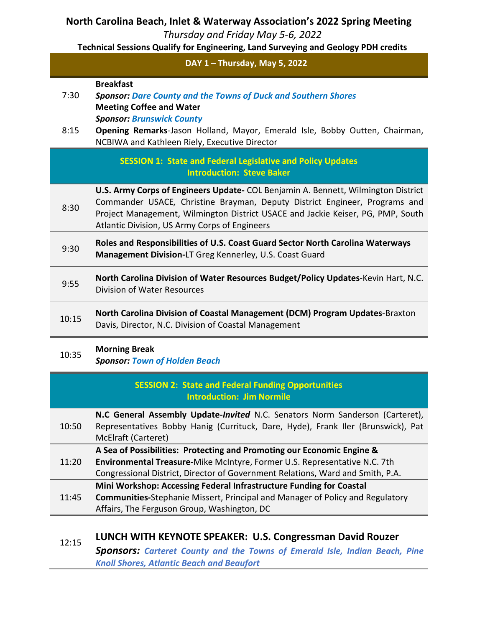#### **North Carolina Beach, Inlet & Waterway Association's 2022 Spring Meeting**

*Thursday and Friday May 5-6, 2022*

**Technical Sessions Qualify for Engineering, Land Surveying and Geology PDH credits** 

#### **DAY 1 – Thursday, May 5, 2022**

#### **Breakfast**

7:30 *Sponsor: Dare County and the Towns of Duck and Southern Shores* **Meeting Coffee and Water** *Sponsor: Brunswick County*

**Opening Remarks**-Jason Holland, Mayor, Emerald Isle, Bobby Outten, Chairman, NCBIWA and Kathleen Riely, Executive Director 8:15

> **SESSION 1: State and Federal Legislative and Policy Updates Introduction: Steve Baker**

8:30 **U.S. Army Corps of Engineers Update-** COL Benjamin A. Bennett, Wilmington District Commander USACE*,* Christine Brayman, Deputy District Engineer, Programs and Project Management, Wilmington District USACE and Jackie Keiser, PG, PMP, South Atlantic Division, US Army Corps of Engineers

- 9:30 **Roles and Responsibilities of U.S. Coast Guard Sector North Carolina Waterways Management Division-**LT Greg Kennerley, U.S. Coast Guard
- 9:55 **North Carolina Division of Water Resources Budget/Policy Updates**-Kevin Hart, N.C. Division of Water Resources
- **North Carolina Division of Coastal Management (DCM) Program Updates-Braxton** Davis, Director, N.C. Division of Coastal Management

#### 10:35 **Morning Break**

*Sponsor: Town of Holden Beach*

# **SESSION 2: State and Federal Funding Opportunities Introduction: Jim Normile**

10:50 **N.C General Assembly Update-***Invited* N.C. Senators Norm Sanderson (Carteret), Representatives Bobby Hanig (Currituck, Dare, Hyde), Frank Iler (Brunswick), Pat McElraft (Carteret)

**A Sea of Possibilities: Protecting and Promoting our Economic Engine &** 

- 11:20 **Environmental Treasure-**Mike McIntyre, Former U.S. Representative N.C. 7th Congressional District, Director of Government Relations, Ward and Smith, P.A.
	- **Mini Workshop: Accessing Federal Infrastructure Funding for Coastal**
- 11:45 **Communities-**Stephanie Missert, Principal and Manager of Policy and Regulatory Affairs, The Ferguson Group, Washington, DC

#### 12:15 **LUNCH WITH KEYNOTE SPEAKER: U.S. Congressman David Rouzer** *Sponsors: Carteret County and the Towns of Emerald Isle, Indian Beach, Pine Knoll Shores, Atlantic Beach and Beaufort*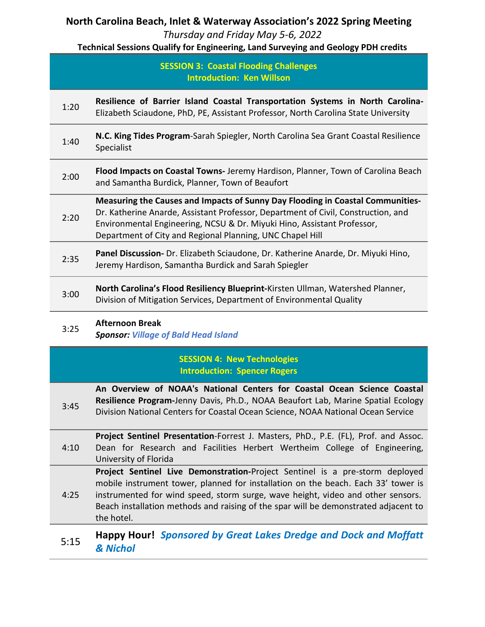### **North Carolina Beach, Inlet & Waterway Association's 2022 Spring Meeting**

*Thursday and Friday May 5-6, 2022*

**Technical Sessions Qualify for Engineering, Land Surveying and Geology PDH credits** 

#### **SESSION 3: Coastal Flooding Challenges Introduction: Ken Willson**

- 1:20 **Resilience of Barrier Island Coastal Transportation Systems in North Carolina-**Elizabeth Sciaudone, PhD, PE, Assistant Professor, North Carolina State University
- 1:40 **N.C. King Tides Program**-Sarah Spiegler, North Carolina Sea Grant Coastal Resilience Specialist
- 2:00 **Flood Impacts on Coastal Towns-** Jeremy Hardison, Planner, Town of Carolina Beach and Samantha Burdick, Planner, Town of Beaufort
	- 2:20 **Measuring the Causes and Impacts of Sunny Day Flooding in Coastal Communities-**Dr. Katherine Anarde, Assistant Professor, Department of Civil, Construction, and Environmental Engineering, NCSU & Dr. Miyuki Hino, Assistant Professor, Department of City and Regional Planning, UNC Chapel Hill
- 2:35 **Panel Discussion-** Dr. Elizabeth Sciaudone, Dr. Katherine Anarde, Dr. Miyuki Hino, Jeremy Hardison, Samantha Burdick and Sarah Spiegler
- 3:00 **North Carolina's Flood Resiliency Blueprint-**Kirsten Ullman, Watershed Planner, Division of Mitigation Services, Department of Environmental Quality

#### 3:25 **Afternoon Break**

*Sponsor: Village of Bald Head Island*

### **SESSION 4: New Technologies Introduction: Spencer Rogers**

3:45 **An Overview of NOAA's National Centers for Coastal Ocean Science Coastal Resilience Program-**Jenny Davis, Ph.D., NOAA Beaufort Lab, Marine Spatial Ecology Division National Centers for Coastal Ocean Science, NOAA National Ocean Service

4:10 **Project Sentinel Presentation**-Forrest J. Masters, PhD., P.E. (FL), Prof. and Assoc. Dean for Research and Facilities Herbert Wertheim College of Engineering, University of Florida

4:25 **Project Sentinel Live Demonstration-**Project Sentinel is a pre-storm deployed mobile instrument tower, planned for installation on the beach. Each 33' tower is instrumented for wind speed, storm surge, wave height, video and other sensors. Beach installation methods and raising of the spar will be demonstrated adjacent to the hotel.

## 5:15 **Happy Hour!** *Sponsored by Great Lakes Dredge and Dock and Moffatt & Nichol*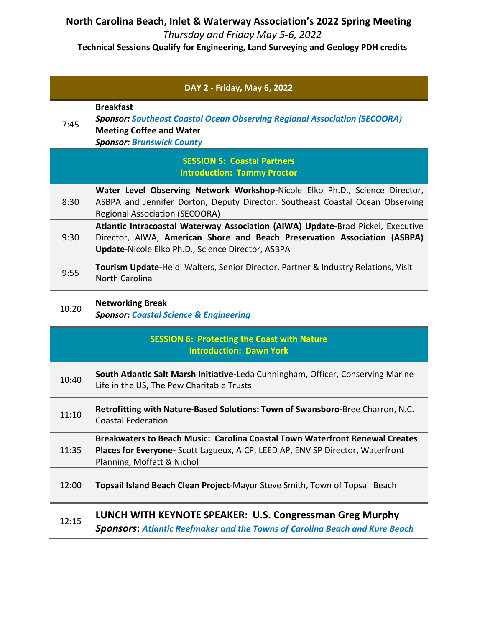**North Carolina Beach, Inlet & Waterway Association's 2022 Spring Meeting** *Thursday and Friday May 5-6, 2022*

**Technical Sessions Qualify for Engineering, Land Surveying and Geology PDH credits** 

|       | DAY 2 - Friday, May 6, 2022                                                                                                                                                                                       |
|-------|-------------------------------------------------------------------------------------------------------------------------------------------------------------------------------------------------------------------|
| 7:45  | <b>Breakfast</b><br><b>Sponsor: Southeast Coastal Ocean Observing Regional Association (SECOORA)</b><br><b>Meeting Coffee and Water</b><br><b>Sponsor: Brunswick County</b>                                       |
|       | <b>SESSION 5: Coastal Partners</b><br><b>Introduction: Tammy Proctor</b>                                                                                                                                          |
| 8:30  | Water Level Observing Network Workshop-Nicole Elko Ph.D., Science Director,<br>ASBPA and Jennifer Dorton, Deputy Director, Southeast Coastal Ocean Observing<br><b>Regional Association (SECOORA)</b>             |
| 9:30  | Atlantic Intracoastal Waterway Association (AIWA) Update-Brad Pickel, Executive<br>Director, AIWA, American Shore and Beach Preservation Association (ASBPA)<br>Update-Nicole Elko Ph.D., Science Director, ASBPA |
| 9:55  | Tourism Update-Heidi Walters, Senior Director, Partner & Industry Relations, Visit<br><b>North Carolina</b>                                                                                                       |
| 10:20 | <b>Networking Break</b><br><b>Sponsor: Coastal Science &amp; Engineering</b>                                                                                                                                      |
|       | <b>SESSION 6: Protecting the Coast with Nature</b><br><b>Introduction: Dawn York</b>                                                                                                                              |
| 10:40 | South Atlantic Salt Marsh Initiative-Leda Cunningham, Officer, Conserving Marine<br>Life in the US, The Pew Charitable Trusts                                                                                     |
| 11:10 | Retrofitting with Nature-Based Solutions: Town of Swansboro-Bree Charron, N.C.<br><b>Coastal Federation</b>                                                                                                       |
| 11:35 | Breakwaters to Beach Music: Carolina Coastal Town Waterfront Renewal Creates<br>Places for Everyone- Scott Lagueux, AICP, LEED AP, ENV SP Director, Waterfront<br>Planning, Moffatt & Nichol                      |
| 12:00 | Topsail Island Beach Clean Project-Mayor Steve Smith, Town of Topsail Beach                                                                                                                                       |
| 12:15 | LUNCH WITH KEYNOTE SPEAKER: U.S. Congressman Greg Murphy<br><b>Sponsors: Atlantic Reefmaker and the Towns of Carolina Beach and Kure Beach</b>                                                                    |